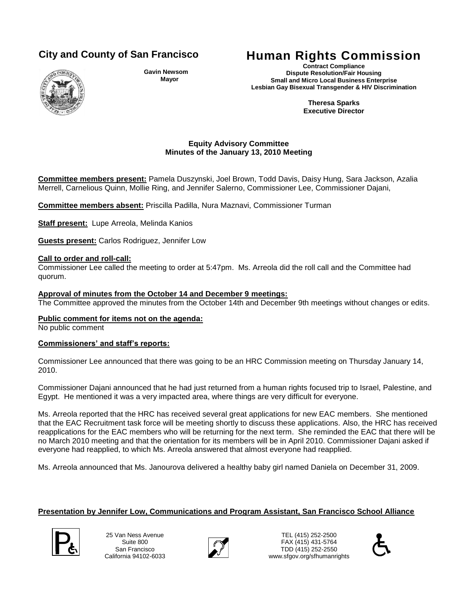

**Gavin Newsom Mayor**

# **City and County of San Francisco Human Rights Commission**

**Contract Compliance Dispute Resolution/Fair Housing Small and Micro Local Business Enterprise Lesbian Gay Bisexual Transgender & HIV Discrimination**

> **Theresa Sparks Executive Director**

### **Equity Advisory Committee Minutes of the January 13, 2010 Meeting**

**Committee members present:** Pamela Duszynski, Joel Brown, Todd Davis, Daisy Hung, Sara Jackson, Azalia Merrell, Carnelious Quinn, Mollie Ring, and Jennifer Salerno, Commissioner Lee, Commissioner Dajani,

**Committee members absent:** Priscilla Padilla, Nura Maznavi, Commissioner Turman

**Staff present:** Lupe Arreola, Melinda Kanios

**Guests present:** Carlos Rodriguez, Jennifer Low

### **Call to order and roll-call:**

Commissioner Lee called the meeting to order at 5:47pm. Ms. Arreola did the roll call and the Committee had quorum.

### **Approval of minutes from the October 14 and December 9 meetings:**

The Committee approved the minutes from the October 14th and December 9th meetings without changes or edits.

#### **Public comment for items not on the agenda:**

No public comment

#### **Commissioners' and staff's reports:**

Commissioner Lee announced that there was going to be an HRC Commission meeting on Thursday January 14, 2010.

Commissioner Dajani announced that he had just returned from a human rights focused trip to Israel, Palestine, and Egypt. He mentioned it was a very impacted area, where things are very difficult for everyone.

Ms. Arreola reported that the HRC has received several great applications for new EAC members. She mentioned that the EAC Recruitment task force will be meeting shortly to discuss these applications. Also, the HRC has received reapplications for the EAC members who will be returning for the next term. She reminded the EAC that there will be no March 2010 meeting and that the orientation for its members will be in April 2010. Commissioner Dajani asked if everyone had reapplied, to which Ms. Arreola answered that almost everyone had reapplied.

Ms. Arreola announced that Ms. Janourova delivered a healthy baby girl named Daniela on December 31, 2009.

# **Presentation by Jennifer Low, Communications and Program Assistant, San Francisco School Alliance**

25 Van Ness Avenue Suite 800 San Francisco California 94102-6033



TEL (415) 252-2500 FAX (415) 431-5764  $\sum_{\text{Sulte 800}}$ <br>  $\sum_{\text{Sulte 800}}$ <br>  $\sum_{\text{Sall Francisco 9415} }$ <br>  $\sum_{\text{Sall Francisco 9416} }$ <br>  $\sum_{\text{Sall Francisco 9416} }$ <br>  $\sum_{\text{SallCorrational 9412} }$ www.sfgov.org/sfhumanrights